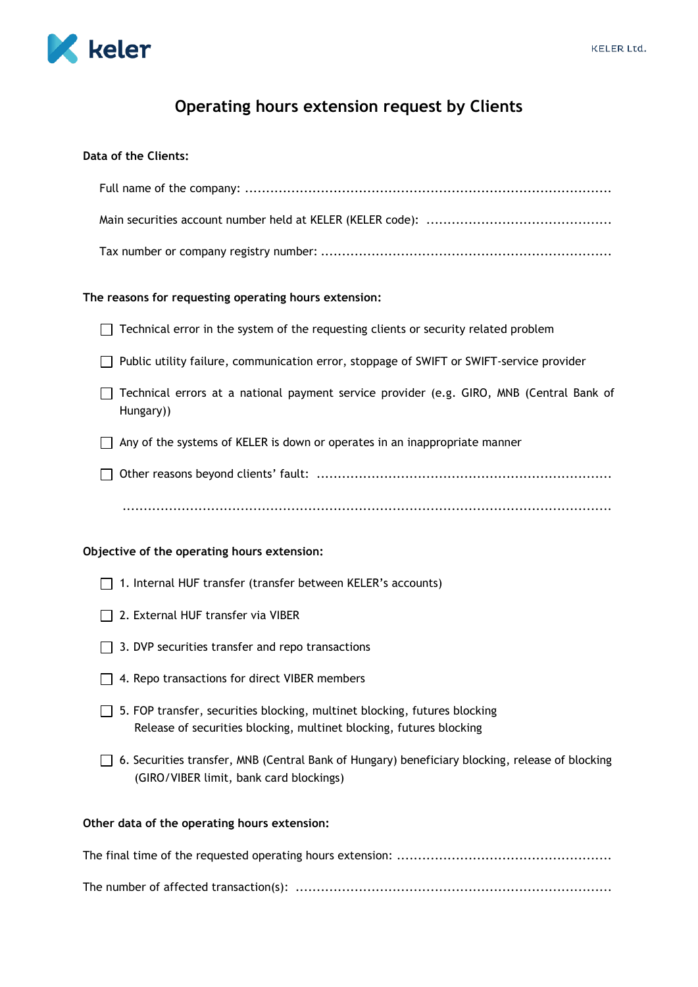

# **Operating hours extension request by Clients**

# **Data of the Clients:**

# **The reasons for requesting operating hours extension:**

- $\Box$  Technical error in the system of the requesting clients or security related problem
- Public utility failure, communication error, stoppage of SWIFT or SWIFT-service provider
- Technical errors at a national payment service provider (e.g. GIRO, MNB (Central Bank of Hungary))
- $\Box$  Any of the systems of KELER is down or operates in an inappropriate manner
- Other reasons beyond clients' fault: ......................................................................

....................................................................................................................

# **Objective of the operating hours extension:**

- 1. Internal HUF transfer (transfer between KELER's accounts)
- □ 2. External HUF transfer via VIBER
- $\Box$  3. DVP securities transfer and repo transactions
- $\Box$  4. Repo transactions for direct VIBER members
- 5. FOP transfer, securities blocking, multinet blocking, futures blocking Release of securities blocking, multinet blocking, futures blocking
- $\Box$  6. Securities transfer, MNB (Central Bank of Hungary) beneficiary blocking, release of blocking (GIRO/VIBER limit, bank card blockings)

# **Other data of the operating hours extension:**